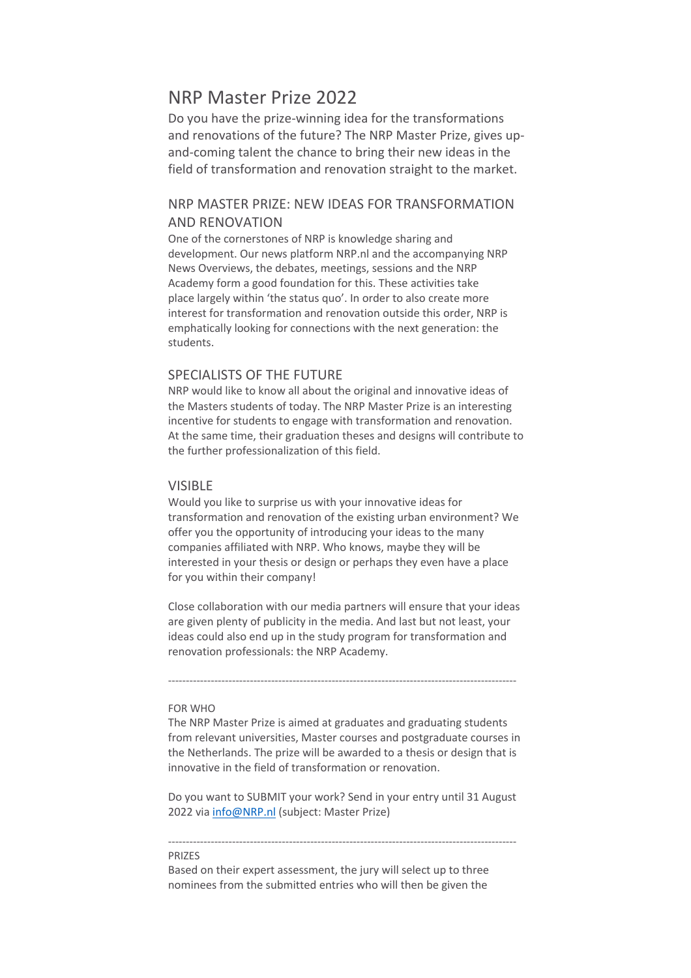# NRP Master Prize 2022

Do you have the prize-winning idea for the transformations and renovations of the future? The NRP Master Prize, gives upand-coming talent the chance to bring their new ideas in the field of transformation and renovation straight to the market.

# NRP MASTER PRIZE: NEW IDEAS FOR TRANSFORMATION AND RENOVATION

One of the cornerstones of NRP is knowledge sharing and development. Our news platform NRP.nl and the accompanying NRP News Overviews, the debates, meetings, sessions and the NRP Academy form a good foundation for this. These activities take place largely within 'the status quo'. In order to also create more interest for transformation and renovation outside this order, NRP is emphatically looking for connections with the next generation: the students.

## SPECIALISTS OF THE FUTURE

NRP would like to know all about the original and innovative ideas of the Masters students of today. The NRP Master Prize is an interesting incentive for students to engage with transformation and renovation. At the same time, their graduation theses and designs will contribute to the further professionalization of this field.

### VISIBLE

Would you like to surprise us with your innovative ideas for transformation and renovation of the existing urban environment? We offer you the opportunity of introducing your ideas to the many companies affiliated with NRP. Who knows, maybe they will be interested in your thesis or design or perhaps they even have a place for you within their company!

Close collaboration with our media partners will ensure that your ideas are given plenty of publicity in the media. And last but not least, your ideas could also end up in the study program for transformation and renovation professionals: the NRP Academy.

--------------------------------------------------------------------------------------------------

#### FOR WHO

The NRP Master Prize is aimed at graduates and graduating students from relevant universities, Master courses and postgraduate courses in the Netherlands. The prize will be awarded to a thesis or design that is innovative in the field of transformation or renovation.

Do you want to SUBMIT your work? Send in your entry until 31 August 2022 via info@NRP.nl (subject: Master Prize)

--------------------------------------------------------------------------------------------------

#### **PRIZES**

Based on their expert assessment, the jury will select up to three nominees from the submitted entries who will then be given the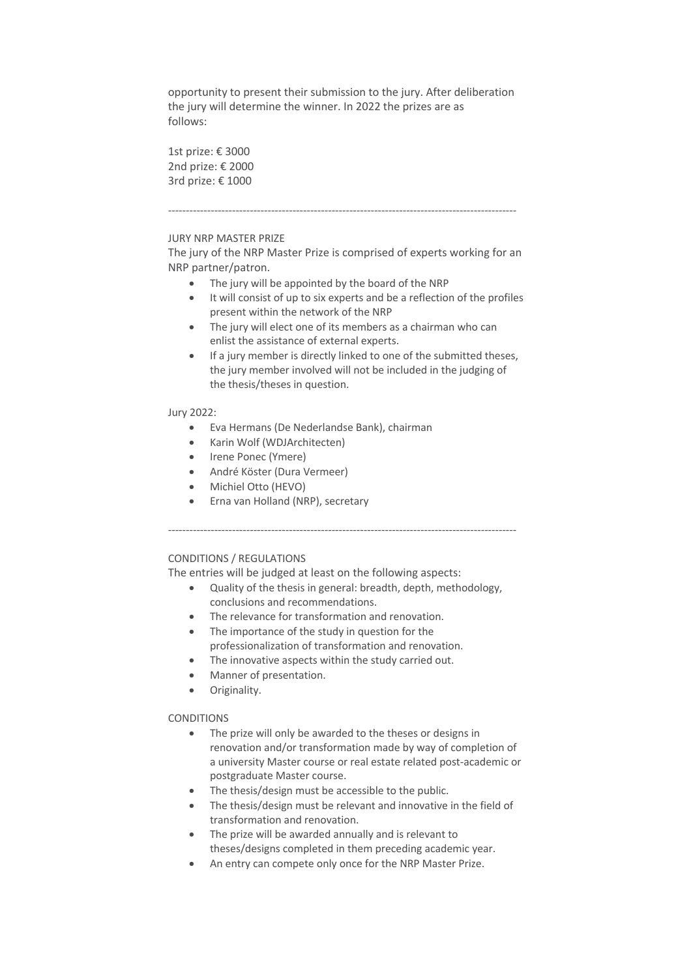opportunity to present their submission to the jury. After deliberation the jury will determine the winner. In 2022 the prizes are as follows:

1st prize: € 3000 2nd prize: € 2000 3rd prize: € 1000

#### --------------------------------------------------------------------------------------------------

### JURY NRP MASTER PRIZE

The jury of the NRP Master Prize is comprised of experts working for an NRP partner/patron.

- The jury will be appointed by the board of the NRP
- It will consist of up to six experts and be a reflection of the profiles present within the network of the NRP
- The jury will elect one of its members as a chairman who can enlist the assistance of external experts.
- If a jury member is directly linked to one of the submitted theses, the jury member involved will not be included in the judging of the thesis/theses in question.

#### Jury 2022:

- Eva Hermans (De Nederlandse Bank), chairman
- Karin Wolf (WDJArchitecten)
- Irene Ponec (Ymere)
- André Köster (Dura Vermeer)
- Michiel Otto (HEVO)
- Erna van Holland (NRP), secretary

--------------------------------------------------------------------------------------------------

## CONDITIONS / REGULATIONS

The entries will be judged at least on the following aspects:

- Quality of the thesis in general: breadth, depth, methodology, conclusions and recommendations.
- The relevance for transformation and renovation.
- The importance of the study in question for the professionalization of transformation and renovation.
- The innovative aspects within the study carried out.
- Manner of presentation.
- Originality.

### **CONDITIONS**

- The prize will only be awarded to the theses or designs in renovation and/or transformation made by way of completion of a university Master course or real estate related post-academic or postgraduate Master course.
- The thesis/design must be accessible to the public.
- The thesis/design must be relevant and innovative in the field of transformation and renovation.
- The prize will be awarded annually and is relevant to theses/designs completed in them preceding academic year.
- An entry can compete only once for the NRP Master Prize.